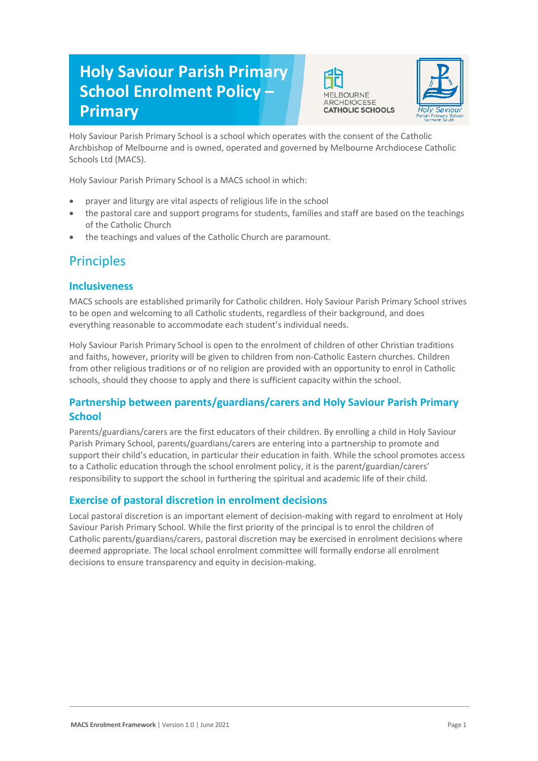# **Holy Saviour Parish Primary School Enrolment Policy – Primary**





Holy Saviour Parish Primary School is a school which operates with the consent of the Catholic Archbishop of Melbourne and is owned, operated and governed by Melbourne Archdiocese Catholic Schools Ltd (MACS).

Holy Saviour Parish Primary School is a MACS school in which:

- prayer and liturgy are vital aspects of religious life in the school
- the pastoral care and support programs for students, families and staff are based on the teachings of the Catholic Church
- the teachings and values of the Catholic Church are paramount.

## **Principles**

#### **Inclusiveness**

MACS schools are established primarily for Catholic children. Holy Saviour Parish Primary School strives to be open and welcoming to all Catholic students, regardless of their background, and does everything reasonable to accommodate each student's individual needs.

Holy Saviour Parish Primary School is open to the enrolment of children of other Christian traditions and faiths, however, priority will be given to children from non-Catholic Eastern churches. Children from other religious traditions or of no religion are provided with an opportunity to enrol in Catholic schools, should they choose to apply and there is sufficient capacity within the school.

### **Partnership between parents/guardians/carers and Holy Saviour Parish Primary School**

Parents/guardians/carers are the first educators of their children. By enrolling a child in Holy Saviour Parish Primary School, parents/guardians/carers are entering into a partnership to promote and support their child's education, in particular their education in faith. While the school promotes access to a Catholic education through the school enrolment policy, it is the parent/guardian/carers' responsibility to support the school in furthering the spiritual and academic life of their child.

## **Exercise of pastoral discretion in enrolment decisions**

Local pastoral discretion is an important element of decision-making with regard to enrolment at Holy Saviour Parish Primary School. While the first priority of the principal is to enrol the children of Catholic parents/guardians/carers, pastoral discretion may be exercised in enrolment decisions where deemed appropriate. The local school enrolment committee will formally endorse all enrolment decisions to ensure transparency and equity in decision-making.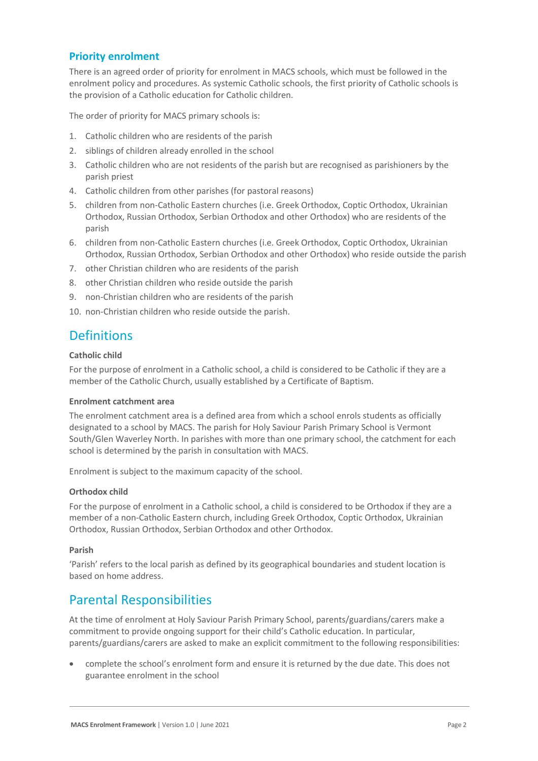### **Priority enrolment**

There is an agreed order of priority for enrolment in MACS schools, which must be followed in the enrolment policy and procedures. As systemic Catholic schools, the first priority of Catholic schools is the provision of a Catholic education for Catholic children.

The order of priority for MACS primary schools is:

- 1. Catholic children who are residents of the parish
- 2. siblings of children already enrolled in the school
- 3. Catholic children who are not residents of the parish but are recognised as parishioners by the parish priest
- 4. Catholic children from other parishes (for pastoral reasons)
- 5. children from non-Catholic Eastern churches (i.e. Greek Orthodox, Coptic Orthodox, Ukrainian Orthodox, Russian Orthodox, Serbian Orthodox and other Orthodox) who are residents of the parish
- 6. children from non-Catholic Eastern churches (i.e. Greek Orthodox, Coptic Orthodox, Ukrainian Orthodox, Russian Orthodox, Serbian Orthodox and other Orthodox) who reside outside the parish
- 7. other Christian children who are residents of the parish
- 8. other Christian children who reside outside the parish
- 9. non-Christian children who are residents of the parish
- 10. non-Christian children who reside outside the parish.

## **Definitions**

#### **Catholic child**

For the purpose of enrolment in a Catholic school, a child is considered to be Catholic if they are a member of the Catholic Church, usually established by a Certificate of Baptism.

#### **Enrolment catchment area**

The enrolment catchment area is a defined area from which a school enrols students as officially designated to a school by MACS. The parish for Holy Saviour Parish Primary School is Vermont South/Glen Waverley North. In parishes with more than one primary school, the catchment for each school is determined by the parish in consultation with MACS.

Enrolment is subject to the maximum capacity of the school.

#### **Orthodox child**

For the purpose of enrolment in a Catholic school, a child is considered to be Orthodox if they are a member of a non-Catholic Eastern church, including Greek Orthodox, Coptic Orthodox, Ukrainian Orthodox, Russian Orthodox, Serbian Orthodox and other Orthodox.

#### **Parish**

'Parish' refers to the local parish as defined by its geographical boundaries and student location is based on home address.

## Parental Responsibilities

At the time of enrolment at Holy Saviour Parish Primary School, parents/guardians/carers make a commitment to provide ongoing support for their child's Catholic education. In particular, parents/guardians/carers are asked to make an explicit commitment to the following responsibilities:

 complete the school's enrolment form and ensure it is returned by the due date. This does not guarantee enrolment in the school